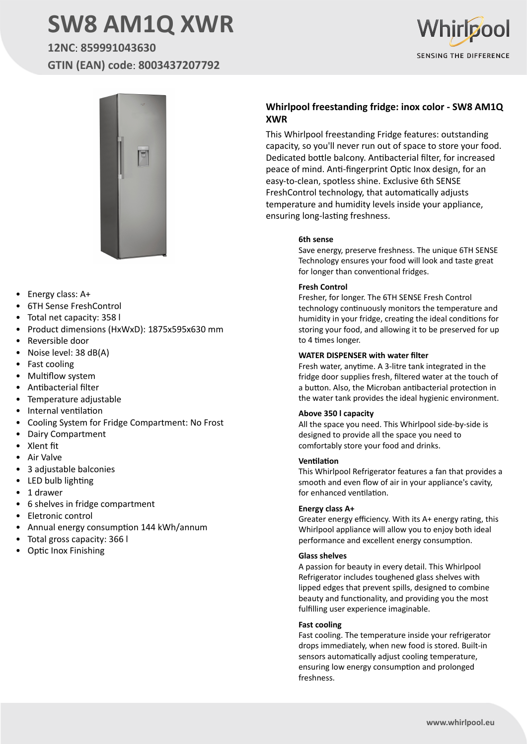# **SW8 AM1Q XWR**

## **12NC**: **859991043630 GTIN (EAN) code**: **8003437207792**





- Energy class: A+
- 6TH Sense FreshControl
- Total net capacity: 358 l
- Product dimensions (HxWxD): 1875x595x630 mm
- Reversible door
- Noise level: 38 dB(A)
- Fast cooling
- Multiflow system
- Antibacterial filter
- Temperature adjustable
- Internal ventilation
- Cooling System for Fridge Compartment: No Frost
- Dairy Compartment
- Xlent fit
- Air Valve
- 3 adjustable balconies
- LED bulb lighting
- 1 drawer
- 6 shelves in fridge compartment
- Eletronic control
- Annual energy consumption 144 kWh/annum
- Total gross capacity: 366 l
- Optic Inox Finishing

#### **Whirlpool freestanding fridge: inox color - SW8 AM1Q XWR**

This Whirlpool freestanding Fridge features: outstanding capacity, so you'll never run out of space to store your food. Dedicated bottle balcony. Antibacterial filter, for increased peace of mind. Anti-fingerprint Optic Inox design, for an easy-to-clean, spotless shine. Exclusive 6th SENSE FreshControl technology, that automatically adjusts temperature and humidity levels inside your appliance, ensuring long-lasting freshness.

#### **6th sense**

Save energy, preserve freshness. The unique 6TH SENSE Technology ensures your food will look and taste great for longer than conventional fridges.

#### **Fresh Control**

Fresher, for longer. The 6TH SENSE Fresh Control technology continuously monitors the temperature and humidity in your fridge, creating the ideal conditions for storing your food, and allowing it to be preserved for up to 4 times longer.

#### **WATER DISPENSER with water filter**

Fresh water, anytime. A 3-litre tank integrated in the fridge door supplies fresh, filtered water at the touch of a button. Also, the Microban antibacterial protection in the water tank provides the ideal hygienic environment.

#### **Above 350 l capacity**

All the space you need. This Whirlpool side-by-side is designed to provide all the space you need to comfortably store your food and drinks.

#### **Ventilation**

This Whirlpool Refrigerator features a fan that provides a smooth and even flow of air in your appliance's cavity, for enhanced ventilation.

#### **Energy class A+**

Greater energy efficiency. With its A+ energy rating, this Whirlpool appliance will allow you to enjoy both ideal performance and excellent energy consumption.

#### **Glass shelves**

A passion for beauty in every detail. This Whirlpool Refrigerator includes toughened glass shelves with lipped edges that prevent spills, designed to combine beauty and functionality, and providing you the most fulfilling user experience imaginable.

#### **Fast cooling**

Fast cooling. The temperature inside your refrigerator drops immediately, when new food is stored. Built-in sensors automatically adjust cooling temperature, ensuring low energy consumption and prolonged freshness.